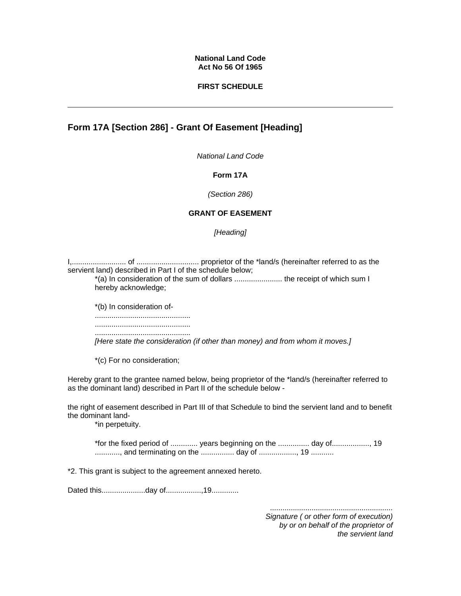### **National Land Code Act No 56 Of 1965**

### **FIRST SCHEDULE**

# **Form 17A [Section 286] - Grant Of Easement [Heading]**

*National Land Code*

### **Form 17A**

*(Section 286)* 

## **GRANT OF EASEMENT**

*[Heading]* 

I,.......................... of .............................. proprietor of the \*land/s (hereinafter referred to as the servient land) described in Part I of the schedule below;

\*(a) In consideration of the sum of dollars ....................... the receipt of which sum I hereby acknowledge;

\*(b) In consideration of- .............................................. .............................................. ..............................................

*[Here state the consideration (if other than money) and from whom it moves.]*

\*(c) For no consideration;

Hereby grant to the grantee named below, being proprietor of the \*land/s (hereinafter referred to as the dominant land) described in Part II of the schedule below -

the right of easement described in Part III of that Schedule to bind the servient land and to benefit the dominant land-

\*in perpetuity.

\*for the fixed period of ............. years beginning on the ............... day of.................., 19 ............, and terminating on the ................ day of .................., 19 ...........

\*2. This grant is subject to the agreement annexed hereto.

Dated this.....................day of.................,19.............

*........................................................... Signature ( or other form of execution) by or on behalf of the proprietor of the servient land*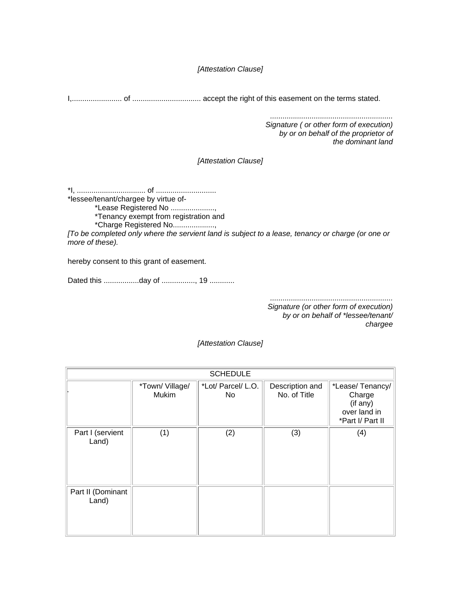*[Attestation Clause]* 

I,........................ of ................................. accept the right of this easement on the terms stated.

*........................................................... Signature ( or other form of execution) by or on behalf of the proprietor of the dominant land* 

*[Attestation Clause]* 

\*I, ................................. of ............................. \*lessee/tenant/chargee by virtue of- \*Lease Registered No .....................,

\*Tenancy exempt from registration and

\*Charge Registered No....................,

*[To be completed only where the servient land is subject to a lease, tenancy or charge (or one or more of these).*

hereby consent to this grant of easement.

Dated this .................day of ................, 19 ............

*........................................................... Signature (or other form of execution) by or on behalf of \*lessee/tenant/ chargee* 

*[Attestation Clause]* 

| <b>SCHEDULE</b>            |                         |                          |                                 |                                                                           |
|----------------------------|-------------------------|--------------------------|---------------------------------|---------------------------------------------------------------------------|
|                            | *Town/Village/<br>Mukim | *Lot/ Parcel/ L.O.<br>No | Description and<br>No. of Title | *Lease/Tenancy/<br>Charge<br>(if any)<br>over land in<br>*Part I/ Part II |
| Part I (servient<br>Land)  | (1)                     | (2)                      | (3)                             | (4)                                                                       |
| Part II (Dominant<br>Land) |                         |                          |                                 |                                                                           |